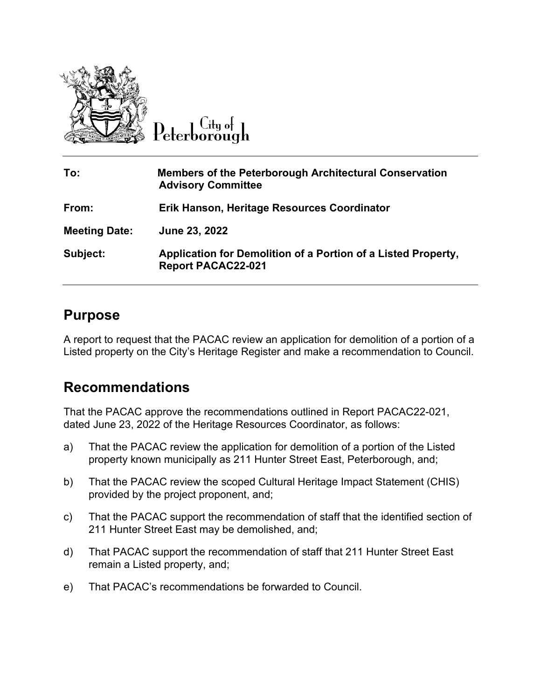

 $C$ ity of eterborough

| To:                  | <b>Members of the Peterborough Architectural Conservation</b><br><b>Advisory Committee</b> |
|----------------------|--------------------------------------------------------------------------------------------|
| From:                | Erik Hanson, Heritage Resources Coordinator                                                |
| <b>Meeting Date:</b> | June 23, 2022                                                                              |
| Subject:             | Application for Demolition of a Portion of a Listed Property,<br><b>Report PACAC22-021</b> |

### **Purpose**

A report to request that the PACAC review an application for demolition of a portion of a Listed property on the City's Heritage Register and make a recommendation to Council.

## **Recommendations**

That the PACAC approve the recommendations outlined in Report PACAC22-021, dated June 23, 2022 of the Heritage Resources Coordinator, as follows:

- a) That the PACAC review the application for demolition of a portion of the Listed property known municipally as 211 Hunter Street East, Peterborough, and;
- b) That the PACAC review the scoped Cultural Heritage Impact Statement (CHIS) provided by the project proponent, and;
- c) That the PACAC support the recommendation of staff that the identified section of 211 Hunter Street East may be demolished, and;
- d) That PACAC support the recommendation of staff that 211 Hunter Street East remain a Listed property, and;
- e) That PACAC's recommendations be forwarded to Council.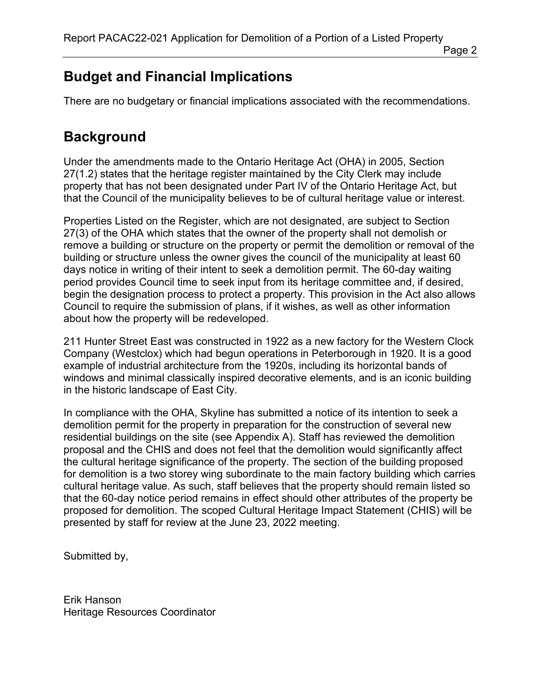# **Budget and Financial Implications**

There are no budgetary or financial implications associated with the recommendations.

# **Background**

Under the amendments made to the Ontario Heritage Act (OHA) in 2005, Section 27(1.2) states that the heritage register maintained by the City Clerk may include property that has not been designated under Part IV of the Ontario Heritage Act, but that the Council of the municipality believes to be of cultural heritage value or interest.

Properties Listed on the Register, which are not designated, are subject to Section 27(3) of the OHA which states that the owner of the property shall not demolish or remove a building or structure on the property or permit the demolition or removal of the building or structure unless the owner gives the council of the municipality at least 60 days notice in writing of their intent to seek a demolition permit. The 60-day waiting period provides Council time to seek input from its heritage committee and, if desired, begin the designation process to protect a property. This provision in the Act also allows Council to require the submission of plans, if it wishes, as well as other information about how the property will be redeveloped.

211 Hunter Street East was constructed in 1922 as a new factory for the Western Clock Company (Westclox) which had begun operations in Peterborough in 1920. It is a good example of industrial architecture from the 1920s, including its horizontal bands of windows and minimal classically inspired decorative elements, and is an iconic building in the historic landscape of East City.

In compliance with the OHA, Skyline has submitted a notice of its intention to seek a demolition permit for the property in preparation for the construction of several new residential buildings on the site (see Appendix A). Staff has reviewed the demolition proposal and the CHIS and does not feel that the demolition would significantly affect the cultural heritage significance of the property. The section of the building proposed for demolition is a two storey wing subordinate to the main factory building which carries cultural heritage value. As such, staff believes that the property should remain listed so that the 60-day notice period remains in effect should other attributes of the property be proposed for demolition. The scoped Cultural Heritage Impact Statement (CHIS) will be presented by staff for review at the June 23, 2022 meeting.

Submitted by,

Erik Hanson Heritage Resources Coordinator